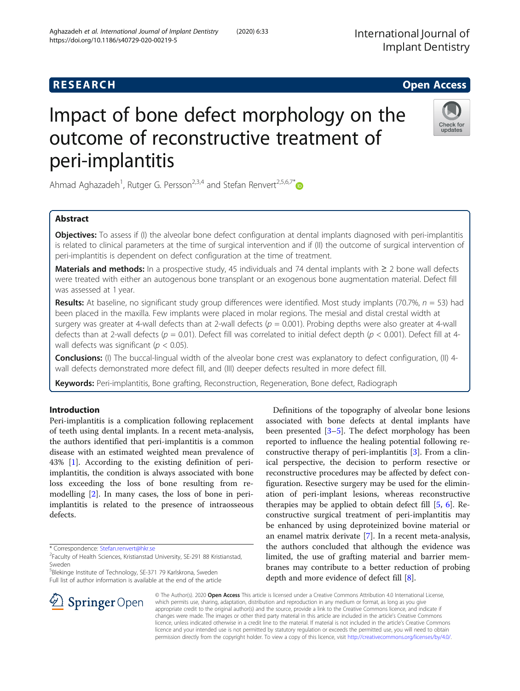https://doi.org/10.1186/s40729-020-00219-5

# Impact of bone defect morphology on the outcome of reconstructive treatment of peri-implantitis

Ahmad Aghazadeh<sup>1</sup>, Rutger G. Persson<sup>2,3,4</sup> and Stefan Renvert<sup>2,5,6,7\*</sup>

# Abstract

Objectives: To assess if (I) the alveolar bone defect configuration at dental implants diagnosed with peri-implantitis is related to clinical parameters at the time of surgical intervention and if (II) the outcome of surgical intervention of peri-implantitis is dependent on defect configuration at the time of treatment.

Materials and methods: In a prospective study, 45 individuals and 74 dental implants with  $\geq 2$  bone wall defects were treated with either an autogenous bone transplant or an exogenous bone augmentation material. Defect fill was assessed at 1 year.

**Results:** At baseline, no significant study group differences were identified. Most study implants (70.7%,  $n = 53$ ) had been placed in the maxilla. Few implants were placed in molar regions. The mesial and distal crestal width at surgery was greater at 4-wall defects than at 2-wall defects ( $p = 0.001$ ). Probing depths were also greater at 4-wall defects than at 2-wall defects ( $p = 0.01$ ). Defect fill was correlated to initial defect depth ( $p < 0.001$ ). Defect fill at 4wall defects was significant ( $p < 0.05$ ).

Conclusions: (I) The buccal-lingual width of the alveolar bone crest was explanatory to defect configuration, (II) 4-

Keywords: Peri-implantitis, Bone grafting, Reconstruction, Regeneration, Bone defect, Radiograph

# Introduction

Peri-implantitis is a complication following replacement of teeth using dental implants. In a recent meta-analysis, the authors identified that peri-implantitis is a common disease with an estimated weighted mean prevalence of 43% [[1\]](#page-8-0). According to the existing definition of periimplantitis, the condition is always associated with bone loss exceeding the loss of bone resulting from remodelling [[2\]](#page-8-0). In many cases, the loss of bone in periimplantitis is related to the presence of intraosseous defects.

\* Correspondence: [Stefan.renvert@hkr.se](mailto:Stefan.renvert@hkr.se) <sup>2</sup>

<sup>5</sup>Blekinge Institute of Technology, SE-371 79 Karlskrona, Sweden Full list of author information is available at the end of the article

> © The Author(s). 2020 Open Access This article is licensed under a Creative Commons Attribution 4.0 International License, which permits use, sharing, adaptation, distribution and reproduction in any medium or format, as long as you give appropriate credit to the original author(s) and the source, provide a link to the Creative Commons licence, and indicate if changes were made. The images or other third party material in this article are included in the article's Creative Commons licence, unless indicated otherwise in a credit line to the material. If material is not included in the article's Creative Commons licence and your intended use is not permitted by statutory regulation or exceeds the permitted use, you will need to obtain permission directly from the copyright holder. To view a copy of this licence, visit <http://creativecommons.org/licenses/by/4.0/>.

depth and more evidence of defect fill [\[8](#page-9-0)].

wall defects demonstrated more defect fill, and (III) deeper defects resulted in more defect fill.







Definitions of the topography of alveolar bone lesions associated with bone defects at dental implants have been presented [[3](#page-8-0)–[5\]](#page-8-0). The defect morphology has been reported to influence the healing potential following reconstructive therapy of peri-implantitis [\[3\]](#page-8-0). From a clinical perspective, the decision to perform resective or reconstructive procedures may be affected by defect configuration. Resective surgery may be used for the elimination of peri-implant lesions, whereas reconstructive therapies may be applied to obtain defect fill [[5,](#page-8-0) [6\]](#page-8-0). Reconstructive surgical treatment of peri-implantitis may be enhanced by using deproteinized bovine material or an enamel matrix derivate [\[7](#page-8-0)]. In a recent meta-analysis, the authors concluded that although the evidence was limited, the use of grafting material and barrier membranes may contribute to a better reduction of probing

Faculty of Health Sciences, Kristianstad University, SE-291 88 Kristianstad, Sweden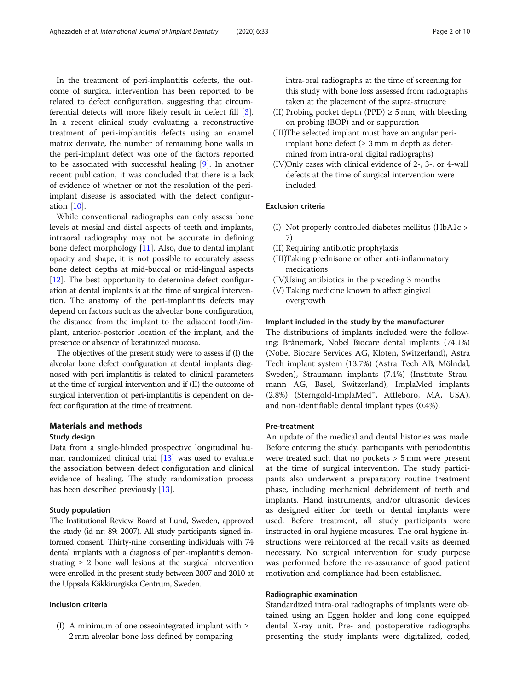In the treatment of peri-implantitis defects, the outcome of surgical intervention has been reported to be related to defect configuration, suggesting that circumferential defects will more likely result in defect fill [\[3](#page-8-0)]. In a recent clinical study evaluating a reconstructive treatment of peri-implantitis defects using an enamel matrix derivate, the number of remaining bone walls in the peri-implant defect was one of the factors reported to be associated with successful healing [[9\]](#page-9-0). In another recent publication, it was concluded that there is a lack of evidence of whether or not the resolution of the periimplant disease is associated with the defect configuration [\[10](#page-9-0)].

While conventional radiographs can only assess bone levels at mesial and distal aspects of teeth and implants, intraoral radiography may not be accurate in defining bone defect morphology [[11\]](#page-9-0). Also, due to dental implant opacity and shape, it is not possible to accurately assess bone defect depths at mid-buccal or mid-lingual aspects [[12](#page-9-0)]. The best opportunity to determine defect configuration at dental implants is at the time of surgical intervention. The anatomy of the peri-implantitis defects may depend on factors such as the alveolar bone configuration, the distance from the implant to the adjacent tooth/implant, anterior-posterior location of the implant, and the presence or absence of keratinized mucosa.

The objectives of the present study were to assess if (I) the alveolar bone defect configuration at dental implants diagnosed with peri-implantitis is related to clinical parameters at the time of surgical intervention and if (II) the outcome of surgical intervention of peri-implantitis is dependent on defect configuration at the time of treatment.

## Materials and methods

#### Study design

Data from a single-blinded prospective longitudinal human randomized clinical trial [[13\]](#page-9-0) was used to evaluate the association between defect configuration and clinical evidence of healing. The study randomization process has been described previously [[13\]](#page-9-0).

#### Study population

The Institutional Review Board at Lund, Sweden, approved the study (id nr: 89: 2007). All study participants signed informed consent. Thirty-nine consenting individuals with 74 dental implants with a diagnosis of peri-implantitis demonstrating  $\geq 2$  bone wall lesions at the surgical intervention were enrolled in the present study between 2007 and 2010 at the Uppsala Käkkirurgiska Centrum, Sweden.

#### Inclusion criteria

(I) A minimum of one osseointegrated implant with  $\geq$ 2 mm alveolar bone loss defined by comparing

intra-oral radiographs at the time of screening for this study with bone loss assessed from radiographs taken at the placement of the supra-structure

- (II) Probing pocket depth (PPD)  $\geq$  5 mm, with bleeding on probing (BOP) and or suppuration
- (III)The selected implant must have an angular periimplant bone defect ( $\geq$  3 mm in depth as determined from intra-oral digital radiographs)
- (IV)Only cases with clinical evidence of 2-, 3-, or 4-wall defects at the time of surgical intervention were included

#### Exclusion criteria

- (I) Not properly controlled diabetes mellitus (HbA1c > 7)
- (II) Requiring antibiotic prophylaxis
- (III)Taking prednisone or other anti-inflammatory medications
- (IV)Using antibiotics in the preceding 3 months
- (V) Taking medicine known to affect gingival overgrowth

#### Implant included in the study by the manufacturer

The distributions of implants included were the following: Brånemark, Nobel Biocare dental implants (74.1%) (Nobel Biocare Services AG, Kloten, Switzerland), Astra Tech implant system (13.7%) (Astra Tech AB, Mölndal, Sweden), Straumann implants (7.4%) (Institute Straumann AG, Basel, Switzerland), ImplaMed implants (2.8%) (Sterngold-ImplaMed™, Attleboro, MA, USA), and non-identifiable dental implant types (0.4%).

#### Pre-treatment

An update of the medical and dental histories was made. Before entering the study, participants with periodontitis were treated such that no pockets > 5 mm were present at the time of surgical intervention. The study participants also underwent a preparatory routine treatment phase, including mechanical debridement of teeth and implants. Hand instruments, and/or ultrasonic devices as designed either for teeth or dental implants were used. Before treatment, all study participants were instructed in oral hygiene measures. The oral hygiene instructions were reinforced at the recall visits as deemed necessary. No surgical intervention for study purpose was performed before the re-assurance of good patient motivation and compliance had been established.

# Radiographic examination

Standardized intra-oral radiographs of implants were obtained using an Eggen holder and long cone equipped dental X-ray unit. Pre- and postoperative radiographs presenting the study implants were digitalized, coded,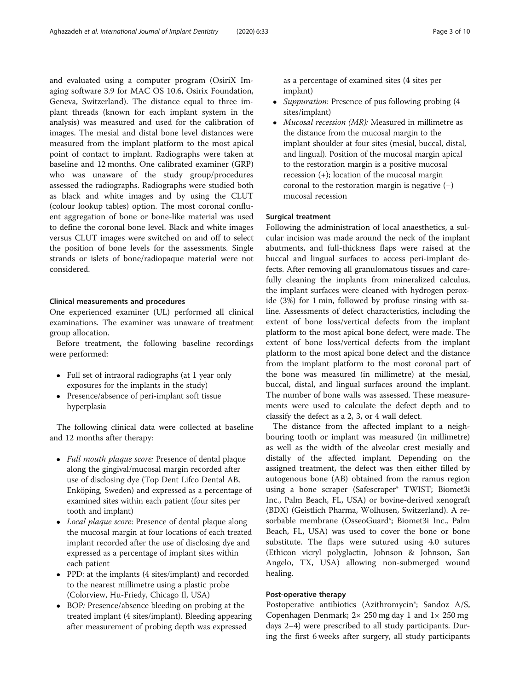and evaluated using a computer program (OsiriX Imaging software 3.9 for MAC OS 10.6, Osirix Foundation, Geneva, Switzerland). The distance equal to three implant threads (known for each implant system in the analysis) was measured and used for the calibration of images. The mesial and distal bone level distances were measured from the implant platform to the most apical point of contact to implant. Radiographs were taken at baseline and 12 months. One calibrated examiner (GRP) who was unaware of the study group/procedures assessed the radiographs. Radiographs were studied both as black and white images and by using the CLUT (colour lookup tables) option. The most coronal confluent aggregation of bone or bone-like material was used to define the coronal bone level. Black and white images versus CLUT images were switched on and off to select the position of bone levels for the assessments. Single strands or islets of bone/radiopaque material were not considered.

#### Clinical measurements and procedures

One experienced examiner (UL) performed all clinical examinations. The examiner was unaware of treatment group allocation.

Before treatment, the following baseline recordings were performed:

- Full set of intraoral radiographs (at 1 year only exposures for the implants in the study)
- Presence/absence of peri-implant soft tissue hyperplasia

The following clinical data were collected at baseline and 12 months after therapy:

- Full mouth plaque score: Presence of dental plaque along the gingival/mucosal margin recorded after use of disclosing dye (Top Dent Lifco Dental AB, Enköping, Sweden) and expressed as a percentage of examined sites within each patient (four sites per tooth and implant)
- *Local plaque score*: Presence of dental plaque along the mucosal margin at four locations of each treated implant recorded after the use of disclosing dye and expressed as a percentage of implant sites within each patient
- PPD: at the implants (4 sites/implant) and recorded to the nearest millimetre using a plastic probe (Colorview, Hu-Friedy, Chicago Il, USA)
- BOP: Presence/absence bleeding on probing at the treated implant (4 sites/implant). Bleeding appearing after measurement of probing depth was expressed

as a percentage of examined sites (4 sites per implant)

- Suppuration: Presence of pus following probing (4 sites/implant)
- Mucosal recession (MR): Measured in millimetre as the distance from the mucosal margin to the implant shoulder at four sites (mesial, buccal, distal, and lingual). Position of the mucosal margin apical to the restoration margin is a positive mucosal recession (+); location of the mucosal margin coronal to the restoration margin is negative (−) mucosal recession

## Surgical treatment

Following the administration of local anaesthetics, a sulcular incision was made around the neck of the implant abutments, and full-thickness flaps were raised at the buccal and lingual surfaces to access peri-implant defects. After removing all granulomatous tissues and carefully cleaning the implants from mineralized calculus, the implant surfaces were cleaned with hydrogen peroxide (3%) for 1 min, followed by profuse rinsing with saline. Assessments of defect characteristics, including the extent of bone loss/vertical defects from the implant platform to the most apical bone defect, were made. The extent of bone loss/vertical defects from the implant platform to the most apical bone defect and the distance from the implant platform to the most coronal part of the bone was measured (in millimetre) at the mesial, buccal, distal, and lingual surfaces around the implant. The number of bone walls was assessed. These measurements were used to calculate the defect depth and to classify the defect as a 2, 3, or 4 wall defect.

The distance from the affected implant to a neighbouring tooth or implant was measured (in millimetre) as well as the width of the alveolar crest mesially and distally of the affected implant. Depending on the assigned treatment, the defect was then either filled by autogenous bone (AB) obtained from the ramus region using a bone scraper (Safescraper® TWIST; Biomet3i Inc., Palm Beach, FL, USA) or bovine-derived xenograft (BDX) (Geistlich Pharma, Wolhusen, Switzerland). A resorbable membrane (OsseoGuard®; Biomet3i Inc., Palm Beach, FL, USA) was used to cover the bone or bone substitute. The flaps were sutured using 4.0 sutures (Ethicon vicryl polyglactin, Johnson & Johnson, San Angelo, TX, USA) allowing non-submerged wound healing.

#### Post-operative therapy

Postoperative antibiotics (Azithromycin<sup>®</sup>; Sandoz A/S, Copenhagen Denmark; 2× 250 mg day 1 and 1× 250 mg days 2–4) were prescribed to all study participants. During the first 6 weeks after surgery, all study participants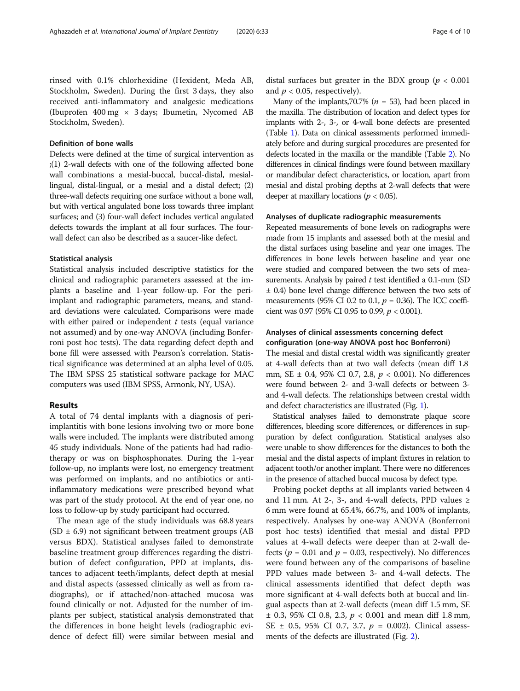rinsed with 0.1% chlorhexidine (Hexident, Meda AB, Stockholm, Sweden). During the first 3 days, they also received anti-inflammatory and analgesic medications (Ibuprofen 400 mg  $\times$  3 days; Ibumetin, Nycomed AB Stockholm, Sweden).

# Definition of bone walls

Defects were defined at the time of surgical intervention as ;(1) 2-wall defects with one of the following affected bone wall combinations a mesial-buccal, buccal-distal, mesiallingual, distal-lingual, or a mesial and a distal defect; (2) three-wall defects requiring one surface without a bone wall, but with vertical angulated bone loss towards three implant surfaces; and (3) four-wall defect includes vertical angulated defects towards the implant at all four surfaces. The fourwall defect can also be described as a saucer-like defect.

#### Statistical analysis

Statistical analysis included descriptive statistics for the clinical and radiographic parameters assessed at the implants a baseline and 1-year follow-up. For the periimplant and radiographic parameters, means, and standard deviations were calculated. Comparisons were made with either paired or independent  $t$  tests (equal variance not assumed) and by one-way ANOVA (including Bonferroni post hoc tests). The data regarding defect depth and bone fill were assessed with Pearson's correlation. Statistical significance was determined at an alpha level of 0.05. The IBM SPSS 25 statistical software package for MAC computers was used (IBM SPSS, Armonk, NY, USA).

## Results

A total of 74 dental implants with a diagnosis of periimplantitis with bone lesions involving two or more bone walls were included. The implants were distributed among 45 study individuals. None of the patients had had radiotherapy or was on bisphosphonates. During the 1-year follow-up, no implants were lost, no emergency treatment was performed on implants, and no antibiotics or antiinflammatory medications were prescribed beyond what was part of the study protocol. At the end of year one, no loss to follow-up by study participant had occurred.

The mean age of the study individuals was 68.8 years  $(SD \pm 6.9)$  not significant between treatment groups (AB versus BDX). Statistical analyses failed to demonstrate baseline treatment group differences regarding the distribution of defect configuration, PPD at implants, distances to adjacent teeth/implants, defect depth at mesial and distal aspects (assessed clinically as well as from radiographs), or if attached/non-attached mucosa was found clinically or not. Adjusted for the number of implants per subject, statistical analysis demonstrated that the differences in bone height levels (radiographic evidence of defect fill) were similar between mesial and distal surfaces but greater in the BDX group ( $p < 0.001$ ) and  $p < 0.05$ , respectively).

Many of the implants,70.7% ( $n = 53$ ), had been placed in the maxilla. The distribution of location and defect types for implants with 2-, 3-, or 4-wall bone defects are presented (Table [1\)](#page-4-0). Data on clinical assessments performed immediately before and during surgical procedures are presented for defects located in the maxilla or the mandible (Table [2](#page-4-0)). No differences in clinical findings were found between maxillary or mandibular defect characteristics, or location, apart from mesial and distal probing depths at 2-wall defects that were deeper at maxillary locations ( $p < 0.05$ ).

#### Analyses of duplicate radiographic measurements

Repeated measurements of bone levels on radiographs were made from 15 implants and assessed both at the mesial and the distal surfaces using baseline and year one images. The differences in bone levels between baseline and year one were studied and compared between the two sets of measurements. Analysis by paired  $t$  test identified a 0.1-mm (SD ± 0.4) bone level change difference between the two sets of measurements (95% CI 0.2 to 0.1,  $p = 0.36$ ). The ICC coefficient was 0.97 (95% CI 0.95 to 0.99,  $p < 0.001$ ).

# Analyses of clinical assessments concerning defect configuration (one-way ANOVA post hoc Bonferroni)

The mesial and distal crestal width was significantly greater at 4-wall defects than at two wall defects (mean diff 1.8 mm, SE ± 0.4, 95% CI 0.7, 2.8, p < 0.001). No differences were found between 2- and 3-wall defects or between 3 and 4-wall defects. The relationships between crestal width and defect characteristics are illustrated (Fig. [1\)](#page-5-0).

Statistical analyses failed to demonstrate plaque score differences, bleeding score differences, or differences in suppuration by defect configuration. Statistical analyses also were unable to show differences for the distances to both the mesial and the distal aspects of implant fixtures in relation to adjacent tooth/or another implant. There were no differences in the presence of attached buccal mucosa by defect type.

Probing pocket depths at all implants varied between 4 and 11 mm. At 2-, 3-, and 4-wall defects, PPD values  $\ge$ 6 mm were found at 65.4%, 66.7%, and 100% of implants, respectively. Analyses by one-way ANOVA (Bonferroni post hoc tests) identified that mesial and distal PPD values at 4-wall defects were deeper than at 2-wall defects ( $p = 0.01$  and  $p = 0.03$ , respectively). No differences were found between any of the comparisons of baseline PPD values made between 3- and 4-wall defects. The clinical assessments identified that defect depth was more significant at 4-wall defects both at buccal and lingual aspects than at 2-wall defects (mean diff 1.5 mm, SE  $\pm$  0.3, 95% CI 0.8, 2.3,  $p < 0.001$  and mean diff 1.8 mm, SE  $\pm$  0.5, 95% CI 0.7, 3.7,  $p = 0.002$ ). Clinical assessments of the defects are illustrated (Fig. [2](#page-5-0)).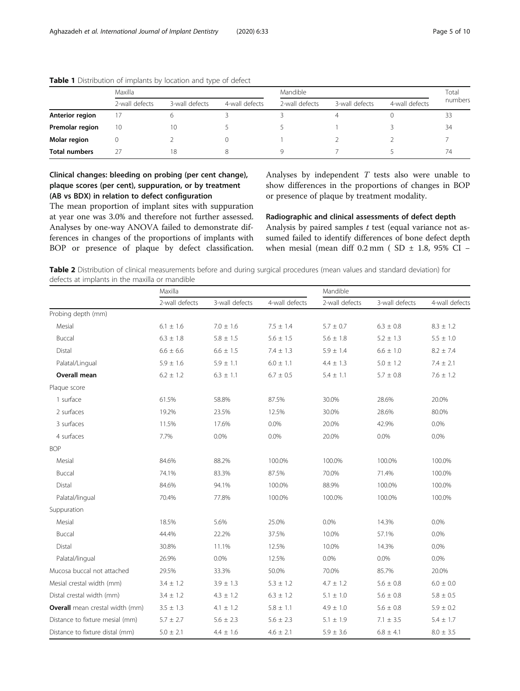|                      | Maxilla        |                |                | Mandible       | Total          |                |         |
|----------------------|----------------|----------------|----------------|----------------|----------------|----------------|---------|
|                      | 2-wall defects | 3-wall defects | 4-wall defects | 2-wall defects | 3-wall defects | 4-wall defects | numbers |
| Anterior region      | 17             |                |                |                |                |                |         |
| Premolar region      | 10             | 10             |                |                |                |                | 34      |
| Molar region         |                |                |                |                |                |                |         |
| <b>Total numbers</b> | 27             | 18             |                |                |                |                | 74      |

# <span id="page-4-0"></span>Table 1 Distribution of implants by location and type of defect

Clinical changes: bleeding on probing (per cent change), plaque scores (per cent), suppuration, or by treatment (AB vs BDX) in relation to defect configuration

The mean proportion of implant sites with suppuration at year one was 3.0% and therefore not further assessed. Analyses by one-way ANOVA failed to demonstrate differences in changes of the proportions of implants with BOP or presence of plaque by defect classification. Analyses by independent  $T$  tests also were unable to show differences in the proportions of changes in BOP or presence of plaque by treatment modality.

Radiographic and clinical assessments of defect depth Analysis by paired samples  $t$  test (equal variance not as-

sumed failed to identify differences of bone defect depth when mesial (mean diff  $0.2$  mm ( SD  $\pm$  1.8, 95% CI –

| Table 2 Distribution of clinical measurements before and during surgical procedures (mean values and standard deviation) for |  |  |  |
|------------------------------------------------------------------------------------------------------------------------------|--|--|--|
| defects at implants in the maxilla or mandible                                                                               |  |  |  |

|                                        | Maxilla        |                |                | Mandible       |                |                 |  |  |  |
|----------------------------------------|----------------|----------------|----------------|----------------|----------------|-----------------|--|--|--|
|                                        | 2-wall defects | 3-wall defects | 4-wall defects | 2-wall defects | 3-wall defects | 4-wall defects  |  |  |  |
| Probing depth (mm)                     |                |                |                |                |                |                 |  |  |  |
| Mesial                                 | $6.1 \pm 1.6$  | $7.0 \pm 1.6$  | $7.5 \pm 1.4$  | $5.7 \pm 0.7$  | $6.3 \pm 0.8$  | $8.3 \pm 1.2$   |  |  |  |
| Buccal                                 | $6.3 \pm 1.8$  | $5.8 \pm 1.5$  | $5.6 \pm 1.5$  | $5.6 \pm 1.8$  | $5.2 \pm 1.3$  | $5.5 \pm 1.0$   |  |  |  |
| Distal                                 | $6.6 \pm 6.6$  | $6.6 \pm 1.5$  | $7.4 \pm 1.3$  | $5.9 \pm 1.4$  | $6.6 \pm 1.0$  | $8.2 \pm 7.4$   |  |  |  |
| Palatal/Lingual                        | $5.9 \pm 1.6$  | $5.9 \pm 1.1$  | $6.0 \pm 1.1$  | $4.4 \pm 1.3$  | $5.0 \pm 1.2$  | $7.4 \pm 2.1$   |  |  |  |
| <b>Overall mean</b>                    | $6.2 \pm 1.2$  | $6.3 \pm 1.1$  | $6.7 \pm 0.5$  | $5.4 \pm 1.1$  | $5.7 \pm 0.8$  | $7.6 \pm 1.2$   |  |  |  |
| Plaque score                           |                |                |                |                |                |                 |  |  |  |
| 1 surface                              | 61.5%          | 58.8%          | 87.5%          | 30.0%          | 28.6%          | 20.0%           |  |  |  |
| 2 surfaces                             | 19.2%          | 23.5%          | 12.5%          | 30.0%          | 28.6%          | 80.0%           |  |  |  |
| 3 surfaces                             | 11.5%          | 17.6%          | 0.0%           | 20.0%          | 42.9%          | 0.0%            |  |  |  |
| 4 surfaces                             | 7.7%           | 0.0%           | $0.0\%$        | 20.0%          | 0.0%           | 0.0%            |  |  |  |
| <b>BOP</b>                             |                |                |                |                |                |                 |  |  |  |
| Mesial                                 | 84.6%          | 88.2%          | 100.0%         | 100.0%         | 100.0%         | 100.0%          |  |  |  |
| Buccal                                 | 74.1%          | 83.3%          | 87.5%          | 70.0%          | 71.4%          | 100.0%          |  |  |  |
| Distal                                 | 84.6%          | 94.1%          | 100.0%         | 88.9%          | 100.0%         | 100.0%          |  |  |  |
| Palatal/lingual                        | 70.4%          | 77.8%          | 100.0%         | 100.0%         | 100.0%         | 100.0%          |  |  |  |
| Suppuration                            |                |                |                |                |                |                 |  |  |  |
| Mesial                                 | 18.5%          | 5.6%           | 25.0%          | 0.0%           | 14.3%          | $0.0\%$         |  |  |  |
| Buccal                                 | 44.4%          | 22.2%          | 37.5%          | 10.0%          | 57.1%          | 0.0%            |  |  |  |
| Distal                                 | 30.8%          | 11.1%          | 12.5%          | 10.0%          | 14.3%          | $0.0\%$         |  |  |  |
| Palatal/lingual                        | 26.9%          | 0.0%           | 12.5%          | 0.0%           | 0.0%           | 0.0%            |  |  |  |
| Mucosa buccal not attached             | 29.5%          | 33.3%          | 50.0%          | 70.0%          | 85.7%          | 20.0%           |  |  |  |
| Mesial crestal width (mm)              | $3.4 \pm 1.2$  | $3.9 \pm 1.3$  | $5.3 \pm 1.2$  | $4.7 \pm 1.2$  | $5.6 \pm 0.8$  | $6.0\,\pm\,0.0$ |  |  |  |
| Distal crestal width (mm)              | $3.4 \pm 1.2$  | $4.3 \pm 1.2$  | $6.3 \pm 1.2$  | $5.1 \pm 1.0$  | $5.6 \pm 0.8$  | $5.8 \pm 0.5$   |  |  |  |
| <b>Overall</b> mean crestal width (mm) | $3.5 \pm 1.3$  | $4.1 \pm 1.2$  | $5.8 \pm 1.1$  | $4.9 \pm 1.0$  | $5.6 \pm 0.8$  | $5.9 \pm 0.2$   |  |  |  |
| Distance to fixture mesial (mm)        | $5.7 \pm 2.7$  | $5.6 \pm 2.3$  | $5.6 \pm 2.3$  | $5.1 \pm 1.9$  | $7.1 \pm 3.5$  | $5.4 \pm 1.7$   |  |  |  |
| Distance to fixture distal (mm)        | $5.0 \pm 2.1$  | $4.4 \pm 1.6$  | $4.6 \pm 2.1$  | $5.9 \pm 3.6$  | $6.8 \pm 4.1$  | $8.0\,\pm\,3.5$ |  |  |  |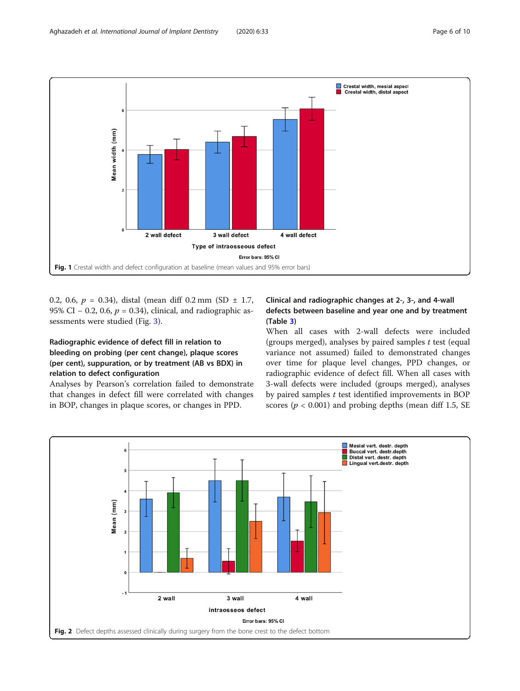<span id="page-5-0"></span>

0.2, 0.6,  $p = 0.34$ ), distal (mean diff 0.2 mm (SD  $\pm$  1.7, 95% CI – 0.2, 0.6,  $p = 0.34$ ), clinical, and radiographic assessments were studied (Fig. [3\)](#page-6-0).

# Radiographic evidence of defect fill in relation to bleeding on probing (per cent change), plaque scores (per cent), suppuration, or by treatment (AB vs BDX) in relation to defect configuration

Analyses by Pearson's correlation failed to demonstrate that changes in defect fill were correlated with changes in BOP, changes in plaque scores, or changes in PPD.

# Clinical and radiographic changes at 2-, 3-, and 4-wall defects between baseline and year one and by treatment (Table [3\)](#page-6-0)

When all cases with 2-wall defects were included (groups merged), analyses by paired samples  $t$  test (equal variance not assumed) failed to demonstrated changes over time for plaque level changes, PPD changes, or radiographic evidence of defect fill. When all cases with 3-wall defects were included (groups merged), analyses by paired samples  $t$  test identified improvements in BOP scores ( $p < 0.001$ ) and probing depths (mean diff 1.5, SE

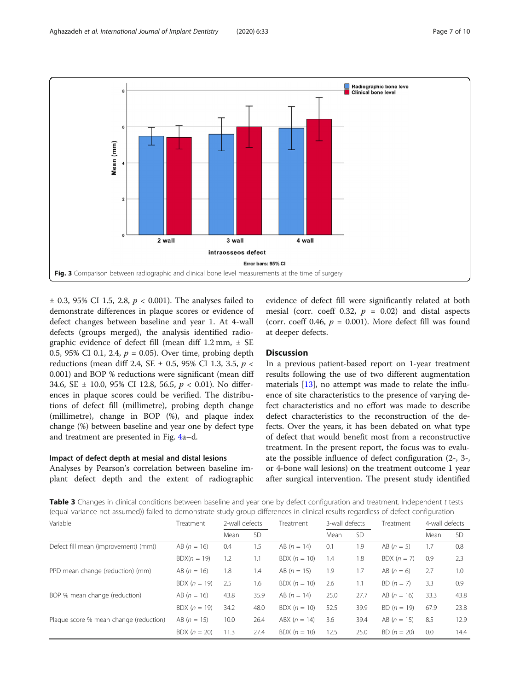<span id="page-6-0"></span>

 $\pm$  0.3, 95% CI 1.5, 2.8,  $p < 0.001$ ). The analyses failed to demonstrate differences in plaque scores or evidence of defect changes between baseline and year 1. At 4-wall defects (groups merged), the analysis identified radiographic evidence of defect fill (mean diff  $1.2$  mm,  $\pm$  SE 0.5, 95% CI 0.1, 2.4,  $p = 0.05$ ). Over time, probing depth reductions (mean diff 2.4, SE  $\pm$  0.5, 95% CI 1.3, 3.5,  $p \lt \sqrt{ }$ 0.001) and BOP % reductions were significant (mean diff 34.6, SE  $\pm$  10.0, 95% CI 12.8, 56.5,  $p < 0.01$ ). No differences in plaque scores could be verified. The distributions of defect fill (millimetre), probing depth change (millimetre), change in BOP (%), and plaque index change (%) between baseline and year one by defect type and treatment are presented in Fig. [4a](#page-7-0)–d.

# Impact of defect depth at mesial and distal lesions

Analyses by Pearson's correlation between baseline implant defect depth and the extent of radiographic evidence of defect fill were significantly related at both mesial (corr. coeff 0.32,  $p = 0.02$ ) and distal aspects (corr. coeff 0.46,  $p = 0.001$ ). More defect fill was found at deeper defects.

# **Discussion**

In a previous patient-based report on 1-year treatment results following the use of two different augmentation materials [[13](#page-9-0)], no attempt was made to relate the influence of site characteristics to the presence of varying defect characteristics and no effort was made to describe defect characteristics to the reconstruction of the defects. Over the years, it has been debated on what type of defect that would benefit most from a reconstructive treatment. In the present report, the focus was to evaluate the possible influence of defect configuration (2-, 3-, or 4-bone wall lesions) on the treatment outcome 1 year after surgical intervention. The present study identified

Table 3 Changes in clinical conditions between baseline and year one by defect configuration and treatment. Independent t tests (equal variance not assumed)) failed to demonstrate study group differences in clinical results regardless of defect configuration

| Variable                               | Treatment      | 2-wall defects |           | Treatment      | 3-wall defects |           | Treatment     | 4-wall defects |           |  |
|----------------------------------------|----------------|----------------|-----------|----------------|----------------|-----------|---------------|----------------|-----------|--|
|                                        |                | Mean           | <b>SD</b> |                | Mean           | <b>SD</b> |               | Mean           | <b>SD</b> |  |
| Defect fill mean (improvement) (mm))   | $AB (n = 16)$  | 0.4            | 1.5       | $AB (n = 14)$  | 0.1            | 1.9       | $AB (n = 5)$  | 1.7            | 0.8       |  |
|                                        | $BDX(n = 19)$  | 1.2            | 1.1       | BDX $(n = 10)$ | 1.4            | 1.8       | $BDX (n = 7)$ | 0.9            | 2.3       |  |
| PPD mean change (reduction) (mm)       | $AB (n = 16)$  | 1.8            | 1.4       | $AB (n = 15)$  | 1.9            | 1.7       | AB $(n = 6)$  | 2.7            | 1.0       |  |
|                                        | BDX $(n = 19)$ | 2.5            | 1.6       | $BDX (n = 10)$ | 2.6            | 1.1       | $BD(n = 7)$   | 3.3            | 0.9       |  |
| BOP % mean change (reduction)          | $AB (n = 16)$  | 43.8           | 35.9      | $AB (n = 14)$  | 25.0           | 27.7      | $AB (n = 16)$ | 33.3           | 43.8      |  |
|                                        | BDX $(n = 19)$ | 34.2           | 48.0      | $BDX (n = 10)$ | 52.5           | 39.9      | $BD (n = 19)$ | 67.9           | 23.8      |  |
| Plaque score % mean change (reduction) | AB $(n = 15)$  | 10.0           | 26.4      | $ABX (n = 14)$ | 3.6            | 39.4      | AB $(n = 15)$ | 8.5            | 12.9      |  |
|                                        | $BDX (n = 20)$ | 11.3           | 27.4      | BDX $(n = 10)$ | 12.5           | 25.0      | $BD (n = 20)$ | 0.0            | 14.4      |  |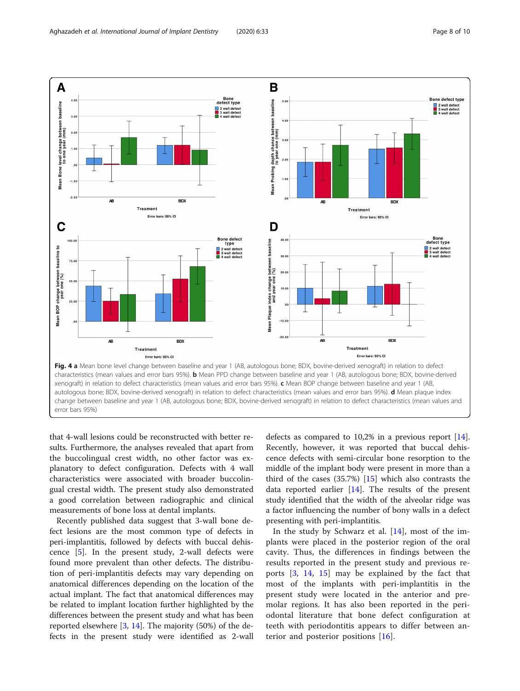<span id="page-7-0"></span>

that 4-wall lesions could be reconstructed with better results. Furthermore, the analyses revealed that apart from the buccolingual crest width, no other factor was explanatory to defect configuration. Defects with 4 wall characteristics were associated with broader buccolingual crestal width. The present study also demonstrated a good correlation between radiographic and clinical measurements of bone loss at dental implants.

Recently published data suggest that 3-wall bone defect lesions are the most common type of defects in peri-implantitis, followed by defects with buccal dehiscence [\[5\]](#page-8-0). In the present study, 2-wall defects were found more prevalent than other defects. The distribution of peri-implantitis defects may vary depending on anatomical differences depending on the location of the actual implant. The fact that anatomical differences may be related to implant location further highlighted by the differences between the present study and what has been reported elsewhere [\[3](#page-8-0), [14](#page-9-0)]. The majority (50%) of the defects in the present study were identified as 2-wall defects as compared to 10,2% in a previous report [\[14](#page-9-0)]. Recently, however, it was reported that buccal dehiscence defects with semi-circular bone resorption to the middle of the implant body were present in more than a third of the cases  $(35.7%)$  [[15](#page-9-0)] which also contrasts the data reported earlier  $[14]$ . The results of the present study identified that the width of the alveolar ridge was a factor influencing the number of bony walls in a defect presenting with peri-implantitis.

In the study by Schwarz et al.  $[14]$  $[14]$ , most of the implants were placed in the posterior region of the oral cavity. Thus, the differences in findings between the results reported in the present study and previous reports [[3,](#page-8-0) [14,](#page-9-0) [15](#page-9-0)] may be explained by the fact that most of the implants with peri-implantitis in the present study were located in the anterior and premolar regions. It has also been reported in the periodontal literature that bone defect configuration at teeth with periodontitis appears to differ between anterior and posterior positions [\[16](#page-9-0)].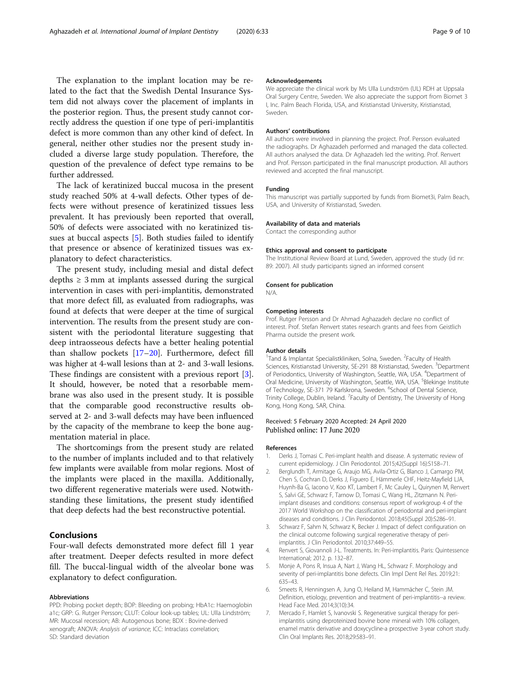<span id="page-8-0"></span>The explanation to the implant location may be related to the fact that the Swedish Dental Insurance System did not always cover the placement of implants in the posterior region. Thus, the present study cannot correctly address the question if one type of peri-implantitis defect is more common than any other kind of defect. In general, neither other studies nor the present study included a diverse large study population. Therefore, the question of the prevalence of defect type remains to be further addressed.

The lack of keratinized buccal mucosa in the present study reached 50% at 4-wall defects. Other types of defects were without presence of keratinized tissues less prevalent. It has previously been reported that overall, 50% of defects were associated with no keratinized tissues at buccal aspects [5]. Both studies failed to identify that presence or absence of keratinized tissues was explanatory to defect characteristics.

The present study, including mesial and distal defect depths  $\geq 3$  mm at implants assessed during the surgical intervention in cases with peri-implantitis, demonstrated that more defect fill, as evaluated from radiographs, was found at defects that were deeper at the time of surgical intervention. The results from the present study are consistent with the periodontal literature suggesting that deep intraosseous defects have a better healing potential than shallow pockets [\[17](#page-9-0)–[20\]](#page-9-0). Furthermore, defect fill was higher at 4-wall lesions than at 2- and 3-wall lesions. These findings are consistent with a previous report [3]. It should, however, be noted that a resorbable membrane was also used in the present study. It is possible that the comparable good reconstructive results observed at 2- and 3-wall defects may have been influenced by the capacity of the membrane to keep the bone augmentation material in place.

The shortcomings from the present study are related to the number of implants included and to that relatively few implants were available from molar regions. Most of the implants were placed in the maxilla. Additionally, two different regenerative materials were used. Notwithstanding these limitations, the present study identified that deep defects had the best reconstructive potential.

### Conclusions

Four-wall defects demonstrated more defect fill 1 year after treatment. Deeper defects resulted in more defect fill. The buccal-lingual width of the alveolar bone was explanatory to defect configuration.

#### Abbreviations

PPD: Probing pocket depth; BOP: Bleeding on probing; HbA1c: Haemoglobin a1c; GRP: G. Rutger Persson; CLUT: Colour look-up tables; UL: Ulla Lindström; MR: Mucosal recession; AB: Autogenous bone; BDX : Bovine-derived xenograft; ANOVA: Analysis of variance; ICC: Intraclass correlation; SD: Standard deviation

#### Acknowledgements

We appreciate the clinical work by Ms Ulla Lundström (UL) RDH at Uppsala Oral Surgery Centre, Sweden. We also appreciate the support from Biomet 3 I, Inc. Palm Beach Florida, USA, and Kristianstad University, Kristianstad, Sweden.

#### Authors' contributions

All authors were involved in planning the project. Prof. Persson evaluated the radiographs. Dr Aghazadeh performed and managed the data collected. All authors analysed the data. Dr Aghazadeh led the writing. Prof. Renvert and Prof. Persson participated in the final manuscript production. All authors reviewed and accepted the final manuscript.

#### Funding

This manuscript was partially supported by funds from Biomet3i, Palm Beach, USA, and University of Kristianstad, Sweden.

#### Availability of data and materials

Contact the corresponding author

#### Ethics approval and consent to participate

The Institutional Review Board at Lund, Sweden, approved the study (id nr: 89: 2007). All study participants signed an informed consent

#### Consent for publication

N/A.

#### Competing interests

Prof. Rutger Persson and Dr Ahmad Aghazadeh declare no conflict of interest. Prof. Stefan Renvert states research grants and fees from Geistlich Pharma outside the present work.

#### Author details

<sup>1</sup>Tand & Implantat Specialistkliniken, Solna, Sweden. <sup>2</sup>Faculty of Health Sciences, Kristianstad University, SE-291 88 Kristianstad, Sweden. <sup>3</sup>Department of Periodontics, University of Washington, Seattle, WA, USA. <sup>4</sup>Department of Oral Medicine, University of Washington, Seattle, WA, USA. <sup>5</sup>Blekinge Institute of Technology, SE-371 79 Karlskrona, Sweden. <sup>6</sup>School of Dental Science, Trinity College, Dublin, Ireland. <sup>7</sup> Faculty of Dentistry, The University of Hong Kong, Hong Kong, SAR, China.

#### Received: 5 February 2020 Accepted: 24 April 2020 Published online: 17 June 2020

#### References

- Derks J, Tomasi C. Peri-implant health and disease. A systematic review of current epidemiology. J Clin Periodontol. 2015;42(Suppl 16):S158–71.
- 2. Berglundh T, Armitage G, Araujo MG, Avila-Ortiz G, Blanco J, Camargo PM, Chen S, Cochran D, Derks J, Figuero E, Hämmerle CHF, Heitz-Mayfield LJA, Huynh-Ba G, Iacono V, Koo KT, Lambert F, Mc Cauley L, Quirynen M, Renvert S, Salvi GE, Schwarz F, Tarnow D, Tomasi C, Wang HL, Zitzmann N. Periimplant diseases and conditions: consensus report of workgroup 4 of the 2017 World Workshop on the classification of periodontal and peri-implant diseases and conditions. J Clin Periodontol. 2018;45(Suppl 20):S286–91.
- 3. Schwarz F, Sahm N, Schwarz K, Becker J. Impact of defect configuration on the clinical outcome following surgical regenerative therapy of periimplantitis. J Clin Periodontol. 2010;37:449–55.
- 4. Renvert S, Giovannoli J-L. Treatments. In: Peri-implantitis. Paris: Quintessence International; 2012. p. 132–87.
- 5. Monje A, Pons R, Insua A, Nart J, Wang HL, Schwarz F. Morphology and severity of peri-implantitis bone defects. Clin Impl Dent Rel Res. 2019;21: 635–43.
- 6. Smeets R, Henningsen A, Jung O, Heiland M, Hammächer C, Stein JM. Definition, etiology, prevention and treatment of peri-implantitis--a review. Head Face Med. 2014;3(10):34.
- 7. Mercado F, Hamlet S, Ivanovski S. Regenerative surgical therapy for periimplantitis using deproteinized bovine bone mineral with 10% collagen, enamel matrix derivative and doxycycline-a prospective 3-year cohort study. Clin Oral Implants Res. 2018;29:583–91.